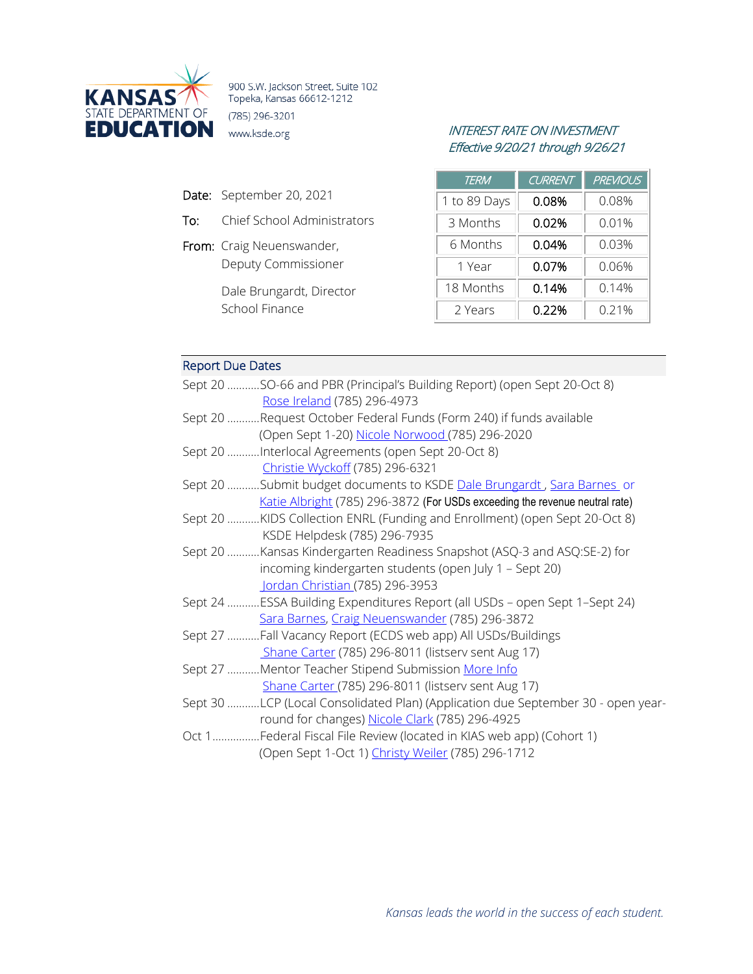

900 S.W. Jackson Street, Suite 102 Topeka, Kansas 66612-1212 (785) 296-3201

- Date: September 20, 2021
- To: Chief School Administrators
- From: Craig Neuenswander, Deputy Commissioner

Dale Brungardt, Director School Finance

# INTEREST RATE ON INVESTMENT Effective 9/20/21 through 9/26/21

| <b>TERM</b>  | <b>CURRENT</b> | <b>PREVIOUS</b> |
|--------------|----------------|-----------------|
| 1 to 89 Days | 0.08%          | 0.08%           |
| 3 Months     | 0.02%          | 0.01%           |
| 6 Months     | 0.04%          | 0.03%           |
| 1 Year       | 0.07%          | 0.06%           |
| 18 Months    | 0.14%          | 0.14%           |
| 2 Years      | 0.22%          | 0.21%           |

## Report Due Dates

| Sept 20 SO-66 and PBR (Principal's Building Report) (open Sept 20-Oct 8)         |
|----------------------------------------------------------------------------------|
| Rose Ireland (785) 296-4973                                                      |
| Sept 20 Request October Federal Funds (Form 240) if funds available              |
| (Open Sept 1-20) Nicole Norwood (785) 296-2020                                   |
| Sept 20 Interlocal Agreements (open Sept 20-Oct 8)                               |
| Christie Wyckoff (785) 296-6321                                                  |
| Sept 20 Submit budget documents to KSDE Dale Brungardt, Sara Barnes or           |
| Katie Albright (785) 296-3872 (For USDs exceeding the revenue neutral rate)      |
| Sept 20 KIDS Collection ENRL (Funding and Enrollment) (open Sept 20-Oct 8)       |
| KSDE Helpdesk (785) 296-7935                                                     |
| Sept 20 Kansas Kindergarten Readiness Snapshot (ASQ-3 and ASQ:SE-2) for          |
| incoming kindergarten students (open July 1 - Sept 20)                           |
| Jordan Christian (785) 296-3953                                                  |
| Sept 24 ESSA Building Expenditures Report (all USDs - open Sept 1-Sept 24)       |
| Sara Barnes, Craig Neuenswander (785) 296-3872                                   |
| Sept 27 Fall Vacancy Report (ECDS web app) All USDs/Buildings                    |
| Shane Carter (785) 296-8011 (listserv sent Aug 17)                               |
| Sept 27 Mentor Teacher Stipend Submission More Info                              |
| Shane Carter (785) 296-8011 (listserv sent Aug 17)                               |
| Sept 30 LCP (Local Consolidated Plan) (Application due September 30 - open year- |
| round for changes) Nicole Clark (785) 296-4925                                   |
| Oct 1Federal Fiscal File Review (located in KIAS web app) (Cohort 1)             |
| (Open Sept 1-Oct 1) Christy Weiler (785) 296-1712                                |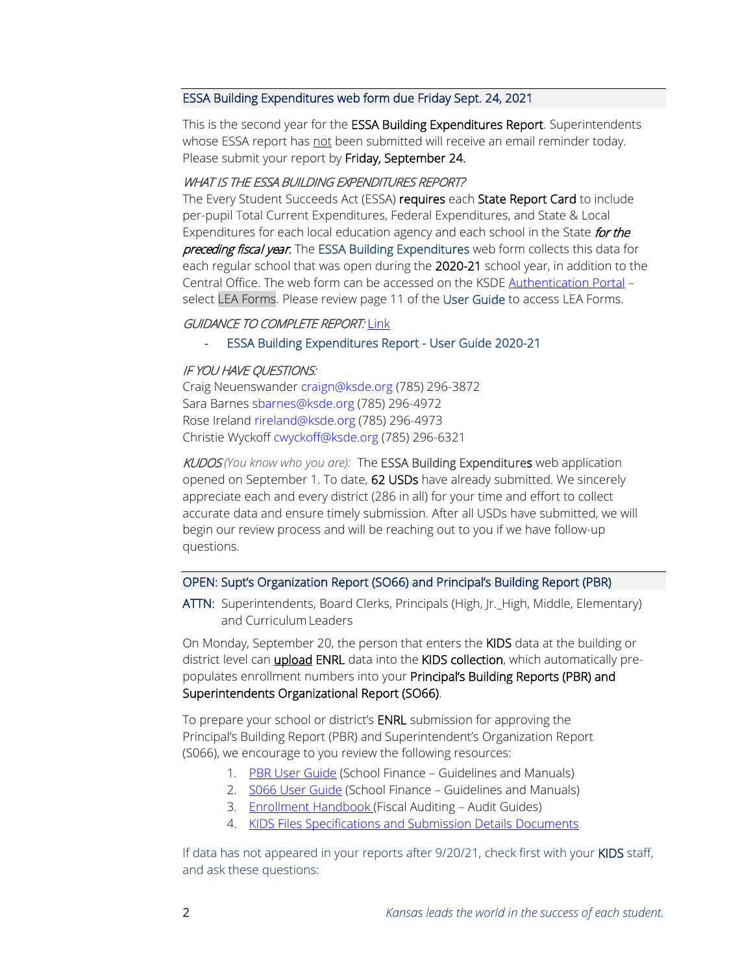## ESSA Building Expenditures web form due Friday Sept. 24, 2021

This is the second year for the ESSA Building Expenditures Report. Superintendents whose ESSA report has not been submitted will receive an email reminder today. Please submit your report by Friday, September 24.

#### WHAT IS THE ESSA BUILDING EXPENDITURES REPORT?

The Every Student Succeeds Act (ESSA) requires each State Report Card to include per-pupil Total Current Expenditures, Federal Expenditures, and State & Local Expenditures for each local education agency and each school in the State for the preceding fiscal year. The ESSA Building Expenditures web form collects this data for each regular school that was open during the 2020-21 school year, in addition to the Central Office. The web form can be accessed on the KSD[E Authentication Portal](https://apps.ksde.org/authentication/login.aspx) – select LEA Forms. Please review page 11 of the User Guide to access LEA Forms.

### GUIDANCE TO COMPLETE REPORT: [Link](https://www.ksde.org/Agency/Fiscal-and-Administrative-Services/School-Finance/Guidelines-and-Manuals)

#### - ESSA Building Expenditures Report - User Guide 2020-21

#### IF YOU HAVE QUESTIONS:

Craig Neuenswander [craign@ksde.org](mailto:craign@ksde.org) (785) 296-3872 Sara Barnes [sbarnes@ksde.org](mailto:sbarnes@ksde.org) (785) 296-4972 Rose Ireland [rireland@ksde.org](mailto:rireland@ksde.org) (785) 296-4973 Christie Wyckof[f cwyckoff@ksde.org](mailto:cwyckoff@ksde.org) (785) 296-6321

KUDOS *(You know who you are):* The ESSA Building Expenditures web application opened on September 1. To date, 62 USDs have already submitted. We sincerely appreciate each and every district (286 in all) for your time and effort to collect accurate data and ensure timely submission. After all USDs have submitted, we will begin our review process and will be reaching out to you if we have follow-up questions.

#### OPEN: Supt's Organization Report (SO66) and Principal's Building Report (PBR)

ATTN: Superintendents, Board Clerks, Principals (High, Jr.\_High, Middle, Elementary) and Curriculum Leaders

On Monday, September 20, the person that enters the KIDS data at the building or district level can *upload* ENRL data into the KIDS collection, which automatically prepopulates enrollment numbers into your Principal's Building Reports (PBR) and Superintendents Organizational Report (SO66).

To prepare your school or district's ENRL submission for approving the Principal's Building Report (PBR) and Superintendent's Organization Report (S066), we encourage to you review the following resources:

- 1. [PBR User Guide](https://www.ksde.org/Portals/0/School%20Finance/guidelines_manuals/PBR%20User%20Guide%202021-22.pdf?ver=2021-09-16-150603-410) (School Finance Guidelines and Manuals)
- 2. [S066 User Guide](https://www.ksde.org/Portals/0/School%20Finance/guidelines_manuals/S066%20User%20Guide%202021-22.pdf?ver=2021-09-16-150049-267) (School Finance Guidelines and Manuals)
- 3. [Enrollment Handbook \(](https://www.ksde.org/Portals/0/Auditing/Enrollment%20Handbook%20FY22.pdf?ver=2021-09-16-131954-043)Fiscal Auditing Audit Guides)
- 4. [KIDS Files Specifications and Submission Details Documents](https://kidsweb.ksde.org/Documents)

If data has not appeared in your reports after 9/20/21, check first with your KIDS staff, and ask these questions: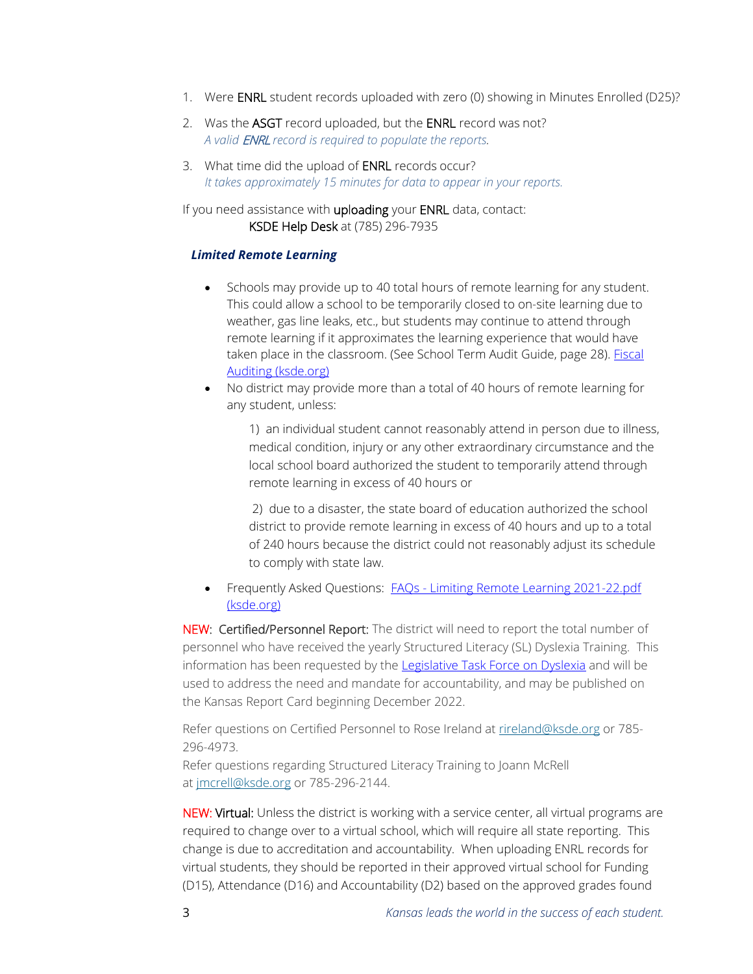- 1. Were ENRL student records uploaded with zero (0) showing in Minutes Enrolled (D25)?
- 2. Was the ASGT record uploaded, but the ENRL record was not? *A valid* ENRL *record is required to populate the reports.*
- 3. What time did the upload of **ENRL** records occur? *It takes approximately 15 minutes for data to appear in your reports.*

If you need assistance with uploading your ENRL data, contact: KSDE Help Desk at (785) 296-7935

## *Limited Remote Learning*

- Schools may provide up to 40 total hours of remote learning for any student. This could allow a school to be temporarily closed to on-site learning due to weather, gas line leaks, etc., but students may continue to attend through remote learning if it approximates the learning experience that would have taken place in the classroom. (See School Term Audit Guide, page 28). Fiscal [Auditing \(ksde.org\)](https://www.ksde.org/Agency/Fiscal-and-Administrative-Services/Fiscal-Auditing)
- No district may provide more than a total of 40 hours of remote learning for any student, unless:

1) an individual student cannot reasonably attend in person due to illness, medical condition, injury or any other extraordinary circumstance and the local school board authorized the student to temporarily attend through remote learning in excess of 40 hours or

2) due to a disaster, the state board of education authorized the school district to provide remote learning in excess of 40 hours and up to a total of 240 hours because the district could not reasonably adjust its schedule to comply with state law.

• Frequently Asked Questions: FAQs - Limiting Remote Learning 2021-22.pdf [\(ksde.org\)](https://www.ksde.org/Portals/0/Auditing/FAQs%20-%20Limiting%20Remote%20Learning%202021-22.pdf?ver=2021-08-27-101227-117)

NEW: Certified/Personnel Report: The district will need to report the total number of personnel who have received the yearly Structured Literacy (SL) Dyslexia Training. This information has been requested by the Legislative [Task Force on Dyslexia](http://www.kslegislature.org/li/b2021_22/committees/ctte_tf_dyslexia_1/) and will be used to address the need and mandate for accountability, and may be published on the Kansas Report Card beginning December 2022.

Refer questions on Certified Personnel to Rose Ireland at [rireland@ksde.org](mailto:rireland@ksde.org) or 785-296-4973.

Refer questions regarding Structured Literacy Training to Joann McRell at [jmcrell@ksde.org](mailto:jmcrell@ksde.org) or 785-296-2144.

NEW: Virtual: Unless the district is working with a service center, all virtual programs are required to change over to a virtual school, which will require all state reporting. This change is due to accreditation and accountability. When uploading ENRL records for virtual students, they should be reported in their approved virtual school for Funding (D15), Attendance (D16) and Accountability (D2) based on the approved grades found